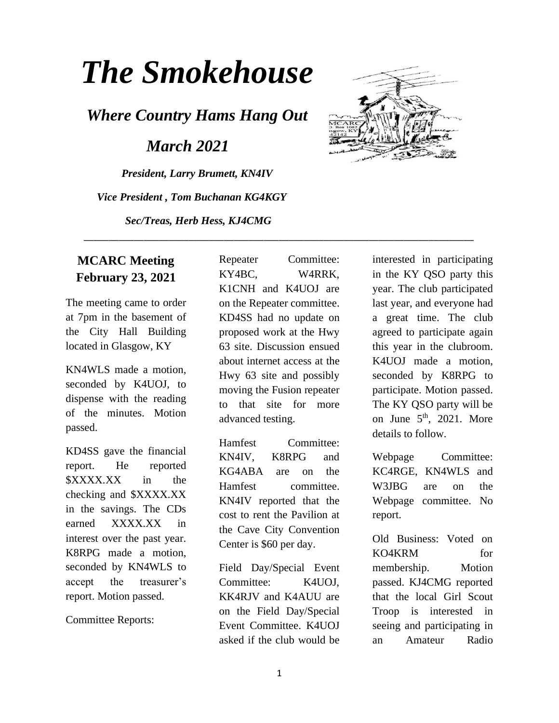# *The Smokehouse*

*Where Country Hams Hang Out*

 *March 2021*

*President, Larry Brumett, KN4IV Vice President , Tom Buchanan KG4KGY Sec/Treas, Herb Hess, KJ4CMG*



The meeting came to order at 7pm in the basement of the City Hall Building located in Glasgow, KY

KN4WLS made a motion, seconded by K4UOJ, to dispense with the reading of the minutes. Motion passed.

KD4SS gave the financial report. He reported \$XXXX.XX in the checking and \$XXXX.XX in the savings. The CDs earned XXXX.XX in interest over the past year. K8RPG made a motion, seconded by KN4WLS to accept the treasurer's report. Motion passed.

Committee Reports:

Repeater Committee: KY4BC, W4RRK, K1CNH and K4UOJ are on the Repeater committee. KD4SS had no update on proposed work at the Hwy 63 site. Discussion ensued about internet access at the Hwy 63 site and possibly moving the Fusion repeater to that site for more advanced testing.

\_\_\_\_\_\_\_\_\_\_\_\_\_\_\_\_\_\_\_\_\_\_\_\_\_\_\_\_\_\_\_\_\_\_\_\_\_\_\_\_\_\_\_\_\_\_\_\_\_\_\_\_\_\_\_\_\_\_\_\_\_\_\_\_\_\_\_\_\_\_\_\_\_\_\_\_\_\_

Hamfest Committee: KN4IV, K8RPG and KG4ABA are on the Hamfest committee. KN4IV reported that the cost to rent the Pavilion at the Cave City Convention Center is \$60 per day.

Field Day/Special Event Committee: K4UOJ, KK4RJV and K4AUU are on the Field Day/Special Event Committee. K4UOJ asked if the club would be



Webpage Committee: KC4RGE, KN4WLS and W3JBG are on the Webpage committee. No report.

Old Business: Voted on KO4KRM for membership. Motion passed. KJ4CMG reported that the local Girl Scout Troop is interested in seeing and participating in an Amateur Radio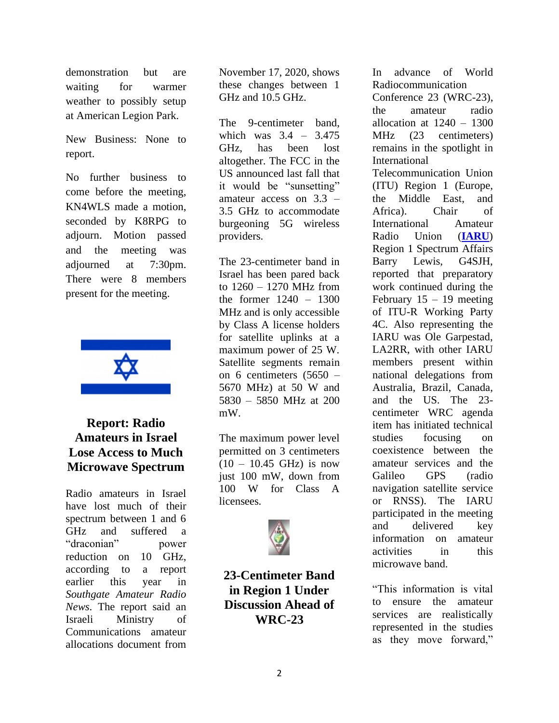demonstration but are waiting for warmer weather to possibly setup at American Legion Park.

New Business: None to report.

No further business to come before the meeting, KN4WLS made a motion, seconded by K8RPG to adjourn. Motion passed and the meeting was adjourned at 7:30pm. There were 8 members present for the meeting.



## **Report: Radio Amateurs in Israel Lose Access to Much Microwave Spectrum**

Radio amateurs in Israel have lost much of their spectrum between 1 and 6 GHz and suffered a "draconian" power reduction on 10 GHz, according to a report earlier this year in *Southgate Amateur Radio News*. The report said an Israeli Ministry of Communications amateur allocations document from

November 17, 2020, shows these changes between 1 GHz and 10.5 GHz.

The 9-centimeter band, which was 3.4 – 3.475 GHz, has been lost altogether. The FCC in the US announced last fall that it would be "sunsetting" amateur access on 3.3 – 3.5 GHz to accommodate burgeoning 5G wireless providers.

The 23-centimeter band in Israel has been pared back to 1260 – 1270 MHz from the former 1240 – 1300 MHz and is only accessible by Class A license holders for satellite uplinks at a maximum power of 25 W. Satellite segments remain on 6 centimeters (5650 – 5670 MHz) at 50 W and 5830 – 5850 MHz at 200 mW.

The maximum power level permitted on 3 centimeters  $(10 - 10.45$  GHz) is now just 100 mW, down from 100 W for Class A licensees.



**23-Centimeter Band in Region 1 Under Discussion Ahead of WRC-23**

In advance of World Radiocommunication Conference 23 (WRC-23), the amateur radio allocation at  $1240 - 1300$ MHz (23 centimeters) remains in the spotlight in International Telecommunication Union (ITU) Region 1 (Europe, the Middle East, and Africa). Chair of International Amateur Radio Union (**[IARU](http://www.iaru.org/)**) Region 1 Spectrum Affairs Barry Lewis, G4SJH, reported that preparatory work continued during the February  $15 - 19$  meeting of ITU-R Working Party 4C. Also representing the IARU was Ole Garpestad, LA2RR, with other IARU members present within national delegations from Australia, Brazil, Canada, and the US. The 23 centimeter WRC agenda item has initiated technical studies focusing on coexistence between the amateur services and the Galileo GPS (radio navigation satellite service or RNSS). The IARU participated in the meeting and delivered key information on amateur activities in this microwave band.

"This information is vital to ensure the amateur services are realistically represented in the studies as they move forward,"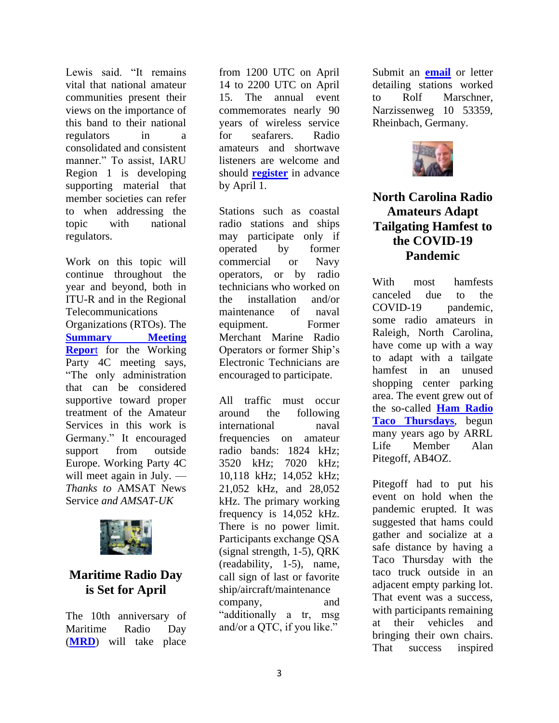Lewis said. "It remains vital that national amateur communities present their views on the importance of this band to their national regulators in a consolidated and consistent manner." To assist, IARU Region 1 is developing supporting material that member societies can refer to when addressing the topic with national regulators.

Work on this topic will continue throughout the year and beyond, both in ITU-R and in the Regional Telecommunications Organizations (RTOs). The **[Summary Meeting](https://www.iaru-r1.org/wp-content/uploads/2021/02/Report-from-WP4C_Feb-2021.docx)  [Repor](https://www.iaru-r1.org/wp-content/uploads/2021/02/Report-from-WP4C_Feb-2021.docx)**[t](https://www.iaru-r1.org/wp-content/uploads/2021/02/Report-from-WP4C_Feb-2021.docx) for the Working Party 4C meeting says, "The only administration that can be considered supportive toward proper treatment of the Amateur Services in this work is Germany." It encouraged support from outside Europe. Working Party 4C will meet again in July. — *Thanks to* AMSAT News Service *and AMSAT-UK*



# **Maritime Radio Day is Set for April**

The 10th anniversary of Maritime Radio Day (**[MRD](http://mrd.sfk-bremen.com/mrd_attention.php)**) will take place

from 1200 UTC on April 14 to 2200 UTC on April 15. The annual event commemorates nearly 90 years of wireless service for seafarers. Radio amateurs and shortwave listeners are welcome and should **[register](http://mrd.sfk-bremen.com/mrd_registry.php)** in advance by April 1.

Stations such as coastal radio stations and ships may participate only if operated by former commercial or Navy operators, or by radio technicians who worked on the installation and/or maintenance of naval equipment. Former Merchant Marine Radio Operators or former Ship's Electronic Technicians are encouraged to participate.

All traffic must occur around the following international naval frequencies on amateur radio bands: 1824 kHz; 3520 kHz; 7020 kHz; 10,118 kHz; 14,052 kHz; 21,052 kHz, and 28,052 kHz. The primary working frequency is 14,052 kHz. There is no power limit. Participants exchange QSA (signal strength, 1-5), QRK (readability, 1-5), name, call sign of last or favorite ship/aircraft/maintenance company, and "additionally a tr, msg and/or a QTC, if you like."

Submit an **[email](mailto:dl9cm@t-online.de)** or letter detailing stations worked to Rolf Marschner, Narzissenweg 10 53359, Rheinbach, Germany.



## **North Carolina Radio Amateurs Adapt Tailgating Hamfest to the COVID-19 Pandemic**

With most hamfests canceled due to the COVID-19 pandemic. some radio amateurs in Raleigh, North Carolina, have come up with a way to adapt with a tailgate hamfest in an unused shopping center parking area. The event grew out of the so-called **[Ham Radio](https://www.youtube.com/watch?v=6kD0GIQmnmw&feature=youtu.be)  [Taco Thursdays](https://www.youtube.com/watch?v=6kD0GIQmnmw&feature=youtu.be)**, begun many years ago by ARRL Life Member Alan Pitegoff, AB4OZ.

Pitegoff had to put his event on hold when the pandemic erupted. It was suggested that hams could gather and socialize at a safe distance by having a Taco Thursday with the taco truck outside in an adjacent empty parking lot. That event was a success, with participants remaining at their vehicles and bringing their own chairs. That success inspired